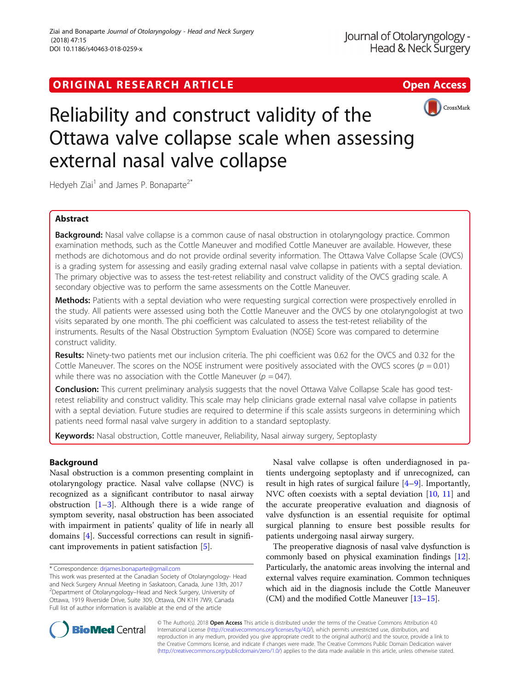# ORIGINAL RESEARCH ARTICLE **External of the Contract Contract Contract Contract Contract Contract Contract Contract Contract Contract Contract Contract Contract Contract Contract Contract Contract Contract Contract Contract**



# Reliability and construct validity of the Ottawa valve collapse scale when assessing external nasal valve collapse

Hedyeh Ziai<sup>1</sup> and James P. Bonaparte<sup>2\*</sup>

## Abstract

**Background:** Nasal valve collapse is a common cause of nasal obstruction in otolaryngology practice. Common examination methods, such as the Cottle Maneuver and modified Cottle Maneuver are available. However, these methods are dichotomous and do not provide ordinal severity information. The Ottawa Valve Collapse Scale (OVCS) is a grading system for assessing and easily grading external nasal valve collapse in patients with a septal deviation. The primary objective was to assess the test-retest reliability and construct validity of the OVCS grading scale. A secondary objective was to perform the same assessments on the Cottle Maneuver.

Methods: Patients with a septal deviation who were requesting surgical correction were prospectively enrolled in the study. All patients were assessed using both the Cottle Maneuver and the OVCS by one otolaryngologist at two visits separated by one month. The phi coefficient was calculated to assess the test-retest reliability of the instruments. Results of the Nasal Obstruction Symptom Evaluation (NOSE) Score was compared to determine construct validity.

Results: Ninety-two patients met our inclusion criteria. The phi coefficient was 0.62 for the OVCS and 0.32 for the Cottle Maneuver. The scores on the NOSE instrument were positively associated with the OVCS scores ( $p = 0.01$ ) while there was no association with the Cottle Maneuver ( $p = 047$ ).

Conclusion: This current preliminary analysis suggests that the novel Ottawa Valve Collapse Scale has good testretest reliability and construct validity. This scale may help clinicians grade external nasal valve collapse in patients with a septal deviation. Future studies are required to determine if this scale assists surgeons in determining which patients need formal nasal valve surgery in addition to a standard septoplasty.

Keywords: Nasal obstruction, Cottle maneuver, Reliability, Nasal airway surgery, Septoplasty

### Background

Nasal obstruction is a common presenting complaint in otolaryngology practice. Nasal valve collapse (NVC) is recognized as a significant contributor to nasal airway obstruction  $[1-3]$  $[1-3]$  $[1-3]$ . Although there is a wide range of symptom severity, nasal obstruction has been associated with impairment in patients' quality of life in nearly all domains [\[4](#page-4-0)]. Successful corrections can result in significant improvements in patient satisfaction [[5\]](#page-4-0).

Nasal valve collapse is often underdiagnosed in patients undergoing septoplasty and if unrecognized, can result in high rates of surgical failure [[4](#page-4-0)–[9](#page-4-0)]. Importantly, NVC often coexists with a septal deviation [\[10](#page-4-0), [11\]](#page-4-0) and the accurate preoperative evaluation and diagnosis of valve dysfunction is an essential requisite for optimal surgical planning to ensure best possible results for patients undergoing nasal airway surgery.

The preoperative diagnosis of nasal valve dysfunction is commonly based on physical examination findings [[12](#page-4-0)]. Particularly, the anatomic areas involving the internal and external valves require examination. Common techniques which aid in the diagnosis include the Cottle Maneuver (CM) and the modified Cottle Maneuver [\[13](#page-4-0)–[15](#page-4-0)].



© The Author(s). 2018 Open Access This article is distributed under the terms of the Creative Commons Attribution 4.0 International License [\(http://creativecommons.org/licenses/by/4.0/](http://creativecommons.org/licenses/by/4.0/)), which permits unrestricted use, distribution, and reproduction in any medium, provided you give appropriate credit to the original author(s) and the source, provide a link to the Creative Commons license, and indicate if changes were made. The Creative Commons Public Domain Dedication waiver [\(http://creativecommons.org/publicdomain/zero/1.0/](http://creativecommons.org/publicdomain/zero/1.0/)) applies to the data made available in this article, unless otherwise stated.

<sup>\*</sup> Correspondence: [drjames.bonaparte@gmail.com](mailto:drjames.bonaparte@gmail.com)

This work was presented at the Canadian Society of Otolaryngology- Head and Neck Surgery Annual Meeting in Saskatoon, Canada, June 13th, 2017 2 Department of Otolaryngology–Head and Neck Surgery, University of Ottawa, 1919 Riverside Drive, Suite 309, Ottawa, ON K1H 7W9, Canada Full list of author information is available at the end of the article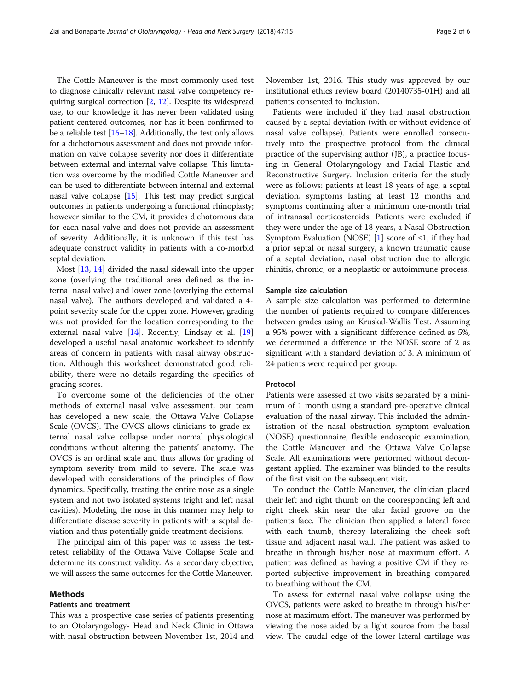The Cottle Maneuver is the most commonly used test to diagnose clinically relevant nasal valve competency requiring surgical correction [[2,](#page-4-0) [12\]](#page-4-0). Despite its widespread use, to our knowledge it has never been validated using patient centered outcomes, nor has it been confirmed to be a reliable test  $[16–18]$  $[16–18]$  $[16–18]$  $[16–18]$ . Additionally, the test only allows for a dichotomous assessment and does not provide information on valve collapse severity nor does it differentiate between external and internal valve collapse. This limitation was overcome by the modified Cottle Maneuver and can be used to differentiate between internal and external nasal valve collapse [\[15](#page-4-0)]. This test may predict surgical outcomes in patients undergoing a functional rhinoplasty; however similar to the CM, it provides dichotomous data for each nasal valve and does not provide an assessment of severity. Additionally, it is unknown if this test has adequate construct validity in patients with a co-morbid septal deviation.

Most [\[13,](#page-4-0) [14](#page-4-0)] divided the nasal sidewall into the upper zone (overlying the traditional area defined as the internal nasal valve) and lower zone (overlying the external nasal valve). The authors developed and validated a 4 point severity scale for the upper zone. However, grading was not provided for the location corresponding to the external nasal valve [[14\]](#page-4-0). Recently, Lindsay et al. [[19](#page-4-0)] developed a useful nasal anatomic worksheet to identify areas of concern in patients with nasal airway obstruction. Although this worksheet demonstrated good reliability, there were no details regarding the specifics of grading scores.

To overcome some of the deficiencies of the other methods of external nasal valve assessment, our team has developed a new scale, the Ottawa Valve Collapse Scale (OVCS). The OVCS allows clinicians to grade external nasal valve collapse under normal physiological conditions without altering the patients' anatomy. The OVCS is an ordinal scale and thus allows for grading of symptom severity from mild to severe. The scale was developed with considerations of the principles of flow dynamics. Specifically, treating the entire nose as a single system and not two isolated systems (right and left nasal cavities). Modeling the nose in this manner may help to differentiate disease severity in patients with a septal deviation and thus potentially guide treatment decisions.

The principal aim of this paper was to assess the testretest reliability of the Ottawa Valve Collapse Scale and determine its construct validity. As a secondary objective, we will assess the same outcomes for the Cottle Maneuver.

#### Methods

#### Patients and treatment

This was a prospective case series of patients presenting to an Otolaryngology- Head and Neck Clinic in Ottawa with nasal obstruction between November 1st, 2014 and November 1st, 2016. This study was approved by our institutional ethics review board (20140735-01H) and all patients consented to inclusion.

Patients were included if they had nasal obstruction caused by a septal deviation (with or without evidence of nasal valve collapse). Patients were enrolled consecutively into the prospective protocol from the clinical practice of the supervising author (JB), a practice focusing in General Otolaryngology and Facial Plastic and Reconstructive Surgery. Inclusion criteria for the study were as follows: patients at least 18 years of age, a septal deviation, symptoms lasting at least 12 months and symptoms continuing after a minimum one-month trial of intranasal corticosteroids. Patients were excluded if they were under the age of 18 years, a Nasal Obstruction Symptom Evaluation (NOSE) [[1\]](#page-4-0) score of  $\leq$ 1, if they had a prior septal or nasal surgery, a known traumatic cause of a septal deviation, nasal obstruction due to allergic rhinitis, chronic, or a neoplastic or autoimmune process.

#### Sample size calculation

A sample size calculation was performed to determine the number of patients required to compare differences between grades using an Kruskal-Wallis Test. Assuming a 95% power with a significant difference defined as 5%, we determined a difference in the NOSE score of 2 as significant with a standard deviation of 3. A minimum of 24 patients were required per group.

#### Protocol

Patients were assessed at two visits separated by a minimum of 1 month using a standard pre-operative clinical evaluation of the nasal airway. This included the administration of the nasal obstruction symptom evaluation (NOSE) questionnaire, flexible endoscopic examination, the Cottle Maneuver and the Ottawa Valve Collapse Scale. All examinations were performed without decongestant applied. The examiner was blinded to the results of the first visit on the subsequent visit.

To conduct the Cottle Maneuver, the clinician placed their left and right thumb on the cooresponding left and right cheek skin near the alar facial groove on the patients face. The clinician then applied a lateral force with each thumb, thereby lateralizing the cheek soft tissue and adjacent nasal wall. The patient was asked to breathe in through his/her nose at maximum effort. A patient was defined as having a positive CM if they reported subjective improvement in breathing compared to breathing without the CM.

To assess for external nasal valve collapse using the OVCS, patients were asked to breathe in through his/her nose at maximum effort. The maneuver was performed by viewing the nose aided by a light source from the basal view. The caudal edge of the lower lateral cartilage was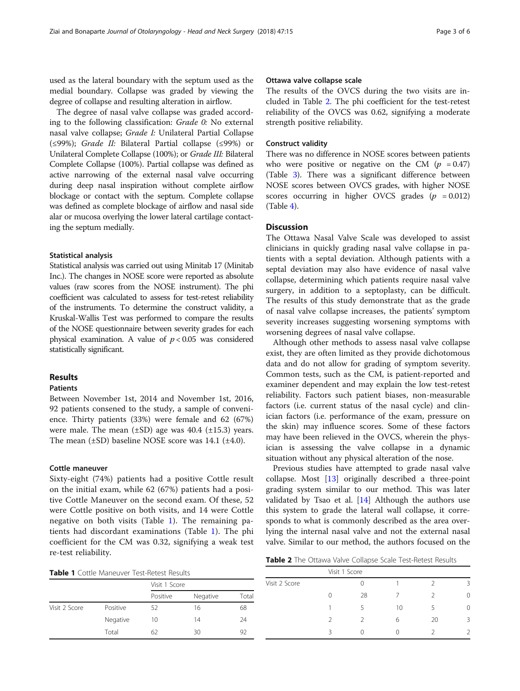used as the lateral boundary with the septum used as the medial boundary. Collapse was graded by viewing the degree of collapse and resulting alteration in airflow.

The degree of nasal valve collapse was graded according to the following classification: Grade 0: No external nasal valve collapse; Grade I: Unilateral Partial Collapse (≤99%); Grade II: Bilateral Partial collapse (≤99%) or Unilateral Complete Collapse (100%); or Grade III: Bilateral Complete Collapse (100%). Partial collapse was defined as active narrowing of the external nasal valve occurring during deep nasal inspiration without complete airflow blockage or contact with the septum. Complete collapse was defined as complete blockage of airflow and nasal side alar or mucosa overlying the lower lateral cartilage contacting the septum medially.

#### Statistical analysis

Statistical analysis was carried out using Minitab 17 (Minitab Inc.). The changes in NOSE score were reported as absolute values (raw scores from the NOSE instrument). The phi coefficient was calculated to assess for test-retest reliability of the instruments. To determine the construct validity, a Kruskal-Wallis Test was performed to compare the results of the NOSE questionnaire between severity grades for each physical examination. A value of  $p < 0.05$  was considered statistically significant.

#### Results

#### Patients

Between November 1st, 2014 and November 1st, 2016, 92 patients consened to the study, a sample of convenience. Thirty patients (33%) were female and 62 (67%) were male. The mean  $(\pm SD)$  age was 40.4  $(\pm 15.3)$  years. The mean  $(\pm SD)$  baseline NOSE score was 14.1  $(\pm 4.0)$ .

#### Cottle maneuver

Sixty-eight (74%) patients had a positive Cottle result on the initial exam, while 62 (67%) patients had a positive Cottle Maneuver on the second exam. Of these, 52 were Cottle positive on both visits, and 14 were Cottle negative on both visits (Table 1). The remaining patients had discordant examinations (Table 1). The phi coefficient for the CM was 0.32, signifying a weak test re-test reliability.

| Table 1 Cottle Maneuver Test-Retest Results |
|---------------------------------------------|
|---------------------------------------------|

Visit 2 Score Positive 52 16

# Construct validity

There was no difference in NOSE scores between patients who were positive or negative on the CM  $(p = 0.47)$ (Table [3](#page-3-0)). There was a significant difference between NOSE scores between OVCS grades, with higher NOSE scores occurring in higher OVCS grades  $(p = 0.012)$ (Table [4\)](#page-3-0).

The results of the OVCS during the two visits are included in Table 2. The phi coefficient for the test-retest reliability of the OVCS was 0.62, signifying a moderate

### **Discussion**

Ottawa valve collapse scale

strength positive reliability.

The Ottawa Nasal Valve Scale was developed to assist clinicians in quickly grading nasal valve collapse in patients with a septal deviation. Although patients with a septal deviation may also have evidence of nasal valve collapse, determining which patients require nasal valve surgery, in addition to a septoplasty, can be difficult. The results of this study demonstrate that as the grade of nasal valve collapse increases, the patients' symptom severity increases suggesting worsening symptoms with worsening degrees of nasal valve collapse.

Although other methods to assess nasal valve collapse exist, they are often limited as they provide dichotomous data and do not allow for grading of symptom severity. Common tests, such as the CM, is patient-reported and examiner dependent and may explain the low test-retest reliability. Factors such patient biases, non-measurable factors (i.e. current status of the nasal cycle) and clinician factors (i.e. performance of the exam, pressure on the skin) may influence scores. Some of these factors may have been relieved in the OVCS, wherein the physician is assessing the valve collapse in a dynamic situation without any physical alteration of the nose.

Previous studies have attempted to grade nasal valve collapse. Most [\[13](#page-4-0)] originally described a three-point grading system similar to our method. This was later validated by Tsao et al. [[14\]](#page-4-0) Although the authors use this system to grade the lateral wall collapse, it corresponds to what is commonly described as the area overlying the internal nasal valve and not the external nasal valve. Similar to our method, the authors focused on the

|  |  | Table 2 The Ottawa Valve Collapse Scale Test-Retest Results |
|--|--|-------------------------------------------------------------|
|--|--|-------------------------------------------------------------|

| aneuver Test-Retest Results |               |          |               |          | Visit 1 Score |    |          |    |               |
|-----------------------------|---------------|----------|---------------|----------|---------------|----|----------|----|---------------|
|                             | Visit 1 Score |          | Visit 2 Score | $\Omega$ |               |    | 3        |    |               |
|                             | Positive      | Negative | Total         |          | 0             | 28 |          |    | $\circ$       |
| Positive                    | 52            | 16       | 68            |          |               |    | 10       |    | $\circ$       |
| Negative                    | 10            | 14       | 24            |          |               |    | 6        | 20 | 3             |
| Total                       | 62            | 30       | 92            |          | ₹             | 0  | $\Omega$ |    | $\mathcal{P}$ |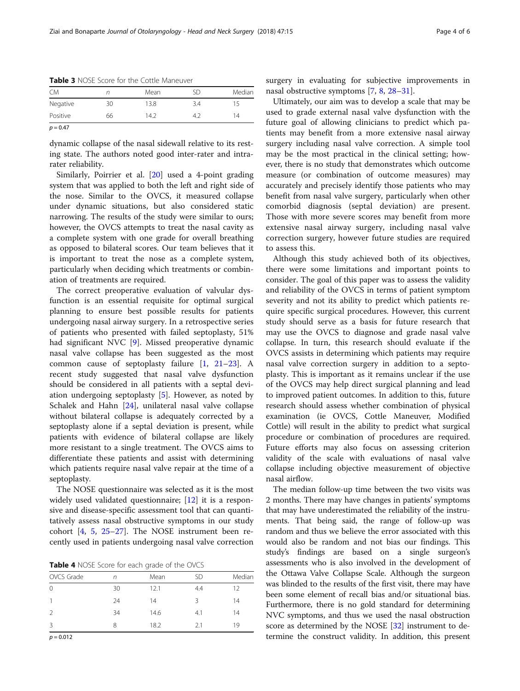<span id="page-3-0"></span>

| <b>Table 3</b> NOSE Score for the Cottle Maneuver |
|---------------------------------------------------|
|---------------------------------------------------|

| <b>CM</b>  |    | Mean | SD  | Median |
|------------|----|------|-----|--------|
| Negative   | 30 | 13.8 | 3.4 | 15     |
| Positive   | 66 | 14.2 | 4.2 | 14     |
| $p = 0.47$ |    |      |     |        |

dynamic collapse of the nasal sidewall relative to its resting state. The authors noted good inter-rater and intrarater reliability.

Similarly, Poirrier et al. [[20\]](#page-4-0) used a 4-point grading system that was applied to both the left and right side of the nose. Similar to the OVCS, it measured collapse under dynamic situations, but also considered static narrowing. The results of the study were similar to ours; however, the OVCS attempts to treat the nasal cavity as a complete system with one grade for overall breathing as opposed to bilateral scores. Our team believes that it is important to treat the nose as a complete system, particularly when deciding which treatments or combination of treatments are required.

The correct preoperative evaluation of valvular dysfunction is an essential requisite for optimal surgical planning to ensure best possible results for patients undergoing nasal airway surgery. In a retrospective series of patients who presented with failed septoplasty, 51% had significant NVC [[9\]](#page-4-0). Missed preoperative dynamic nasal valve collapse has been suggested as the most common cause of septoplasty failure [[1,](#page-4-0) [21](#page-4-0)–[23](#page-4-0)]. A recent study suggested that nasal valve dysfunction should be considered in all patients with a septal deviation undergoing septoplasty [[5\]](#page-4-0). However, as noted by Schalek and Hahn [[24](#page-5-0)], unilateral nasal valve collapse without bilateral collapse is adequately corrected by a septoplasty alone if a septal deviation is present, while patients with evidence of bilateral collapse are likely more resistant to a single treatment. The OVCS aims to differentiate these patients and assist with determining which patients require nasal valve repair at the time of a septoplasty.

The NOSE questionnaire was selected as it is the most widely used validated questionnaire; [\[12](#page-4-0)] it is a responsive and disease-specific assessment tool that can quantitatively assess nasal obstructive symptoms in our study cohort  $[4, 5, 25-27]$  $[4, 5, 25-27]$  $[4, 5, 25-27]$  $[4, 5, 25-27]$  $[4, 5, 25-27]$  $[4, 5, 25-27]$  $[4, 5, 25-27]$  $[4, 5, 25-27]$ . The NOSE instrument been recently used in patients undergoing nasal valve correction

Table 4 NOSE Score for each grade of the OVCS

|             |    | ÷    |           |        |
|-------------|----|------|-----------|--------|
| OVCS Grade  | n  | Mean | <b>SD</b> | Median |
| $\mathbf 0$ | 30 | 12.1 | 4.4       | 12     |
|             | 24 | 14   | 3         | 14     |
| 2           | 34 | 14.6 | 4.1       | 14     |
| Β           | 8  | 18.2 | 2.1       | 19     |
| - - - -     |    |      |           |        |

surgery in evaluating for subjective improvements in nasal obstructive symptoms [\[7](#page-4-0), [8](#page-4-0), [28](#page-5-0)–[31\]](#page-5-0).

Ultimately, our aim was to develop a scale that may be used to grade external nasal valve dysfunction with the future goal of allowing clinicians to predict which patients may benefit from a more extensive nasal airway surgery including nasal valve correction. A simple tool may be the most practical in the clinical setting; however, there is no study that demonstrates which outcome measure (or combination of outcome measures) may accurately and precisely identify those patients who may benefit from nasal valve surgery, particularly when other comorbid diagnosis (septal deviation) are present. Those with more severe scores may benefit from more extensive nasal airway surgery, including nasal valve correction surgery, however future studies are required to assess this.

Although this study achieved both of its objectives, there were some limitations and important points to consider. The goal of this paper was to assess the validity and reliability of the OVCS in terms of patient symptom severity and not its ability to predict which patients require specific surgical procedures. However, this current study should serve as a basis for future research that may use the OVCS to diagnose and grade nasal valve collapse. In turn, this research should evaluate if the OVCS assists in determining which patients may require nasal valve correction surgery in addition to a septoplasty. This is important as it remains unclear if the use of the OVCS may help direct surgical planning and lead to improved patient outcomes. In addition to this, future research should assess whether combination of physical examination (ie OVCS, Cottle Maneuver, Modified Cottle) will result in the ability to predict what surgical procedure or combination of procedures are required. Future efforts may also focus on assessing criterion validity of the scale with evaluations of nasal valve collapse including objective measurement of objective nasal airflow.

The median follow-up time between the two visits was 2 months. There may have changes in patients' symptoms that may have underestimated the reliability of the instruments. That being said, the range of follow-up was random and thus we believe the error associated with this would also be random and not bias our findings. This study's findings are based on a single surgeon's assessments who is also involved in the development of the Ottawa Valve Collapse Scale. Although the surgeon was blinded to the results of the first visit, there may have been some element of recall bias and/or situational bias. Furthermore, there is no gold standard for determining NVC symptoms, and thus we used the nasal obstruction score as determined by the NOSE [\[32\]](#page-5-0) instrument to determine the construct validity. In addition, this present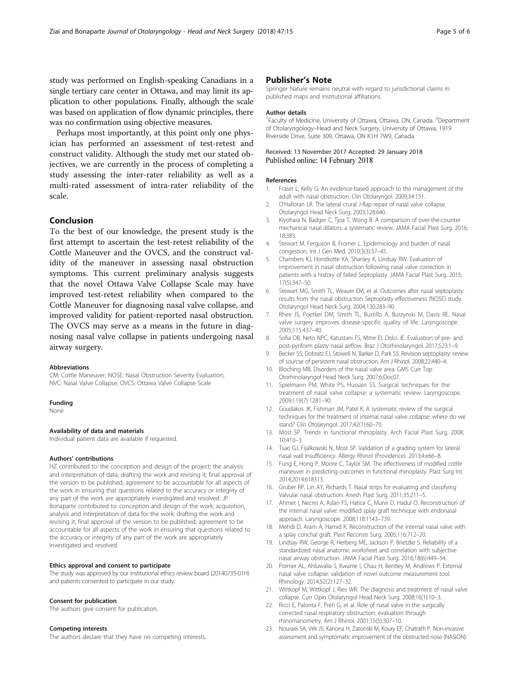<span id="page-4-0"></span>study was performed on English-speaking Canadians in a single tertiary care center in Ottawa, and may limit its application to other populations. Finally, although the scale was based on application of flow dynamic principles, there was no confirmation using objective measures.

Perhaps most importantly, at this point only one physician has performed an assessment of test-retest and construct validity. Although the study met our stated objectives, we are currently in the process of completing a study assessing the inter-rater reliability as well as a multi-rated assessment of intra-rater reliability of the scale.

#### Conclusion

To the best of our knowledge, the present study is the first attempt to ascertain the test-retest reliability of the Cottle Maneuver and the OVCS, and the construct validity of the maneuver in assessing nasal obstruction symptoms. This current preliminary analysis suggests that the novel Ottawa Valve Collapse Scale may have improved test-retest reliability when compared to the Cottle Maneuver for diagnosing nasal valve collapse, and improved validity for patient-reported nasal obstruction. The OVCS may serve as a means in the future in diagnosing nasal valve collapse in patients undergoing nasal airway surgery.

#### Abbreviations

CM: Cottle Maneuver; NOSE: Nasal Obstruction Severity Evaluation; NVC: Nasal Valve Collapse; OVCS: Ottawa Valve Collapse Scale

#### Funding

None

#### Availability of data and materials

Individual patient data are available if requested.

#### Authors' contributions

HZ contributed to: the conception and design of the project; the analysis and interpretation of data; drafting the work and revising it; final approval of the version to be published; agreement to be accountable for all aspects of the work in ensuring that questions related to the accuracy or integrity of any part of the work are appropriately investigated and resolved. JP Bonaparte contributed to: conception and design of the work; acquisition, analysis and interpretation of data for the work; drafting the work and revising it; final approval of the version to be published; agreement to be accountable for all aspects of the work in ensuring that questions related to the accuracy or integrity of any part of the work are appropriately investigated and resolved.

#### Ethics approval and consent to participate

The study was approved by our institutional ethics review board (20140735-01H) and patients consented to participate in our study.

#### Consent for publication

The authors give consent for publication.

#### Competing interests

The authors declare that they have no competing interests.

#### Publisher's Note

Springer Nature remains neutral with regard to jurisdictional claims in published maps and institutional affiliations.

#### Author details

<sup>1</sup> Faculty of Medicine, University of Ottawa, Ottawa, ON, Canada. <sup>2</sup> Department of Otolaryngology–Head and Neck Surgery, University of Ottawa, 1919 Riverside Drive, Suite 309, Ottawa, ON K1H 7W9, Canada.

#### Received: 13 November 2017 Accepted: 29 January 2018 Published online: 14 February 2018

#### References

- Fraser L, Kelly G. An evidence-based approach to the management of the adult with nasal obstruction. Clin Otolaryngol. 2009;34:151.
- 2. O'Halloran LR. The lateral crural J-flap repair of nasal valve collapse. Otolaryngol Head Neck Surg. 2003;128:640.
- 3. Kiyohara N, Badger C, Tjoa T, Wong B. A comparison of over-the-counter mechanical nasal dilators: a systematic review. JAMA Facial Plast Surg. 2016; 18:385.
- 4. Stewart M, Ferguson B, Fromer L. Epidemiology and burden of nasal congestion. Int J Gen Med. 2010;3(3):37–45.
- 5. Chambers KJ, Horstkotte KA, Shanley K, Lindsay RW. Evaluation of improvement in nasal obstruction following nasal valve correction in patients with a history of failed Septoplasty. JAMA Facial Plast Surg. 2015; 17(5):347–50.
- 6. Stewart MG, Smith TL, Weaver EM, et al. Outcomes after nasal septoplasty: results from the nasal obstruction Septoplasty effectiveness (NOSE) study. Otolaryngol Head Neck Surg. 2004;130:283–90.
- 7. Rhee JS, Poetker DM, Smith TL, Bustillo A, Burzynski M, Davis RE. Nasal valve surgery improves disease-specific quality of life. Laryngoscope. 2005;115:437–40.
- 8. Sofia OB, Neto NPC, Katustani FS, Mitre EI, Dolci JE. Evaluation of pre- and post-pyriform plasty nasal airflow. Braz J Otorhinolaryngol. 2017;523:1–9.
- 9. Becker SS, Dobratz EJ, Stowell N, Barker D, Park SS. Revision septoplasty: review of sourcse of persistent nasal obstruction. Am J Rhinol. 2008;22:440–4.
- 10. Bloching MB. Disorders of the nasal valve area. GMS Curr Top Otorhinolaryngol Head Neck Surg. 2007;6:Doc07.
- 11. Spielmann PM, White PS, Hussain SS. Surgical techniques for the treatment of nasal valve collapse: a systematic review. Laryngoscope. 2009;119(7):1281–90.
- 12. Goudakos JK, Fishman JM, Patel K. A systematic review of the surgical techniques for the treatment of internal nasal valve collapse: where do we stand? Clin Otolaryngol. 2017;42(1):60–70.
- 13. Most SP. Trends in functional rhinoplasty. Arch Facial Plast Surg. 2008; 10:410–3.
- 14. Tsao GJ, Fijalkowski N, Most SP. Validation of a grading system for lateral nasal wall insufficiency. Allergy Rhinol (Providence). 2013;4:e66–8.
- 15. Fung E, Hong P, Moore C, Taylor SM. The effectiveness of modified cottle maneuver in predicting outcomes in functional rhinoplasty. Plast Surg Int. 2014;2014:618313.
- 16. Gruber RP, Lin AY, Richards T. Nasal strips for evaluating and classifying Valvular nasal obstruction. Anesh Plast Surg. 2011;35:211–5.
- 17. Ahmet I, Necmi A, Aslan FS, Hatice C, Munir D, Hadul O. Reconstruction of the internal nasal valve: modified splay graft technique with endonasal approach. Laryngoscope. 2008;118:1143–739.
- 18. Mehdi D, Aram A, Hamid K. Reconstruction of the internal nasal valve with a splay conchal graft. Plast Reconstr Surg. 2005;116:712–20.
- 19. Lindsay RW, George R, Herberg ME, Jackson P, Brietzke S. Reliability of a standardized nasal anatomic worksheet and correlation with subjective nasal airway obstruction. JAMA Facial Plast Surg. 2016;18(6):449–54.
- 20. Poirrier AL, Ahluwalia S, Kwame I, Chau H, Bentley M, Andrews P. External nasal valve collapse: validation of novel outcome measurement tool. Rhinology. 2014;52(2):127–32.
- 21. Wittkopf M, Wittkopf J, Ries WR. The diagnosis and treatment of nasal valve collapse. Curr Opin Otolaryngol Head Neck Surg. 2008;16(1):10–3.
- 22. Ricci E, Palonta F, Preti G, et al. Role of nasal valve in the surgically corrected nasal respiratory obstruction: evaluation through rhinomanometry. Am J Rhinol. 2001;15(5):307–10.
- 23. Nouraei SA, Virk JS, Kanona H, Zatonski M, Koury EF, Chatrath P. Non-invasive assessment and symptomatic improvement of the obstructed nose (NASION):